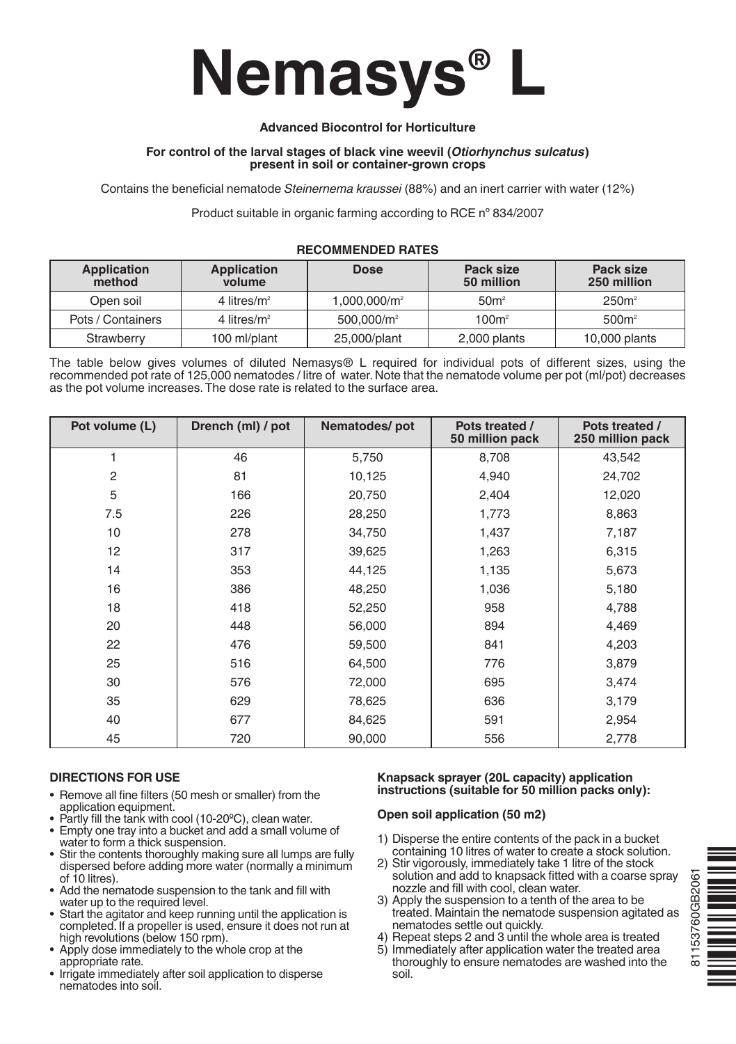

## **Advanced Biocontrol for Horticulture**

#### **For control of the larval stages of black vine weevil (***Otiorhynchus sulcatus***) present in soil or container-grown crops**

Contains the beneficial nematode *Steinernema kraussei* (88%) and an inert carrier with water (12%)

Product suitable in organic farming according to RCE nº 834/2007

#### **RECOMMENDED RATES**

| Application<br>method | <b>Application</b><br>volume | <b>Dose</b>              | Pack size<br>50 million | Pack size<br>250 million |
|-----------------------|------------------------------|--------------------------|-------------------------|--------------------------|
| Open soil             | 4 litres/ $m^2$              | 1.000.000/m <sup>2</sup> | 50 <sup>m²</sup>        | $250m^2$                 |
| Pots / Containers     | 4 litres/ $m^2$              | $500.000/m^2$            | 100m <sup>2</sup>       | 500m <sup>2</sup>        |
| Strawberry            | 100 ml/plant                 | 25,000/plant             | 2,000 plants            | 10,000 plants            |

The table below gives volumes of diluted Nemasys® L required for individual pots of different sizes, using the recommended pot rate of 125,000 nematodes / litre of water. Note that the nematode volume per pot (ml/pot) decreases as the pot volume increases.The dose rate is related to the surface area.

| Pot volume (L) | Drench (ml) / pot | Nematodes/pot | Pots treated /<br>50 million pack | Pots treated /<br>250 million pack |
|----------------|-------------------|---------------|-----------------------------------|------------------------------------|
| 1              | 46                | 5,750         | 8,708                             | 43,542                             |
| 2              | 81                | 10,125        | 4,940                             | 24,702                             |
| 5              | 166               | 20,750        | 2,404                             | 12,020                             |
| 7.5            | 226               | 28,250        | 1,773                             | 8,863                              |
| 10             | 278               | 34,750        | 1,437                             | 7,187                              |
| 12             | 317               | 39,625        | 1,263                             | 6,315                              |
| 14             | 353               | 44,125        | 1,135                             | 5,673                              |
| 16             | 386               | 48,250        | 1,036                             | 5,180                              |
| 18             | 418               | 52,250        | 958                               | 4,788                              |
| 20             | 448               | 56,000        | 894                               | 4,469                              |
| 22             | 476               | 59,500        | 841                               | 4,203                              |
| 25             | 516               | 64,500        | 776                               | 3,879                              |
| 30             | 576               | 72,000        | 695                               | 3,474                              |
| 35             | 629               | 78,625        | 636                               | 3,179                              |
| 40             | 677               | 84,625        | 591                               | 2,954                              |
| 45             | 720               | 90,000        | 556                               | 2,778                              |

### **DIRECTIONS FOR USE**

- Remove all fine filters (50 mesh or smaller) from the application equipment.
- Partly fill the tank with cool (10-20°C), clean water.
- Empty one tray into a bucket and add a small volume of water to form a thick suspension.
- Stir the contents thoroughly making sure all lumps are fully dispersed before adding more water (normally a minimum of 10 litres).
- Add the nematode suspension to the tank and fill with water up to the required level.
- Start the agitator and keep running until the application is completed. If a propeller is used, ensure it does not run at high revolutions (below 150 rpm).
- • Apply dose immediately to the whole crop at the appropriate rate.
- Irrigate immediately after soil application to disperse nematodes into soil.

#### **Knapsack sprayer (20L capacity) application instructions (suitable for 50 million packs only):**

### **Open soil application (50 m2)**

- 1) Disperse the entire contents of the pack in a bucket containing 10 litres of water to create a stock solution.
- 2) Stir vigorously, immediately take 1 litre of the stock solution and add to knapsack fitted with a coarse spray nozzle and fill with cool, clean water.
- 3) Apply the suspension to a tenth of the area to be treated. Maintain the nematode suspension agitated as nematodes settle out quickly.
- 4) Repeat steps 2 and 3 until the whole area is treated
- 5) Immediately after application water the treated area thoroughly to ensure nematodes are washed into the soil.